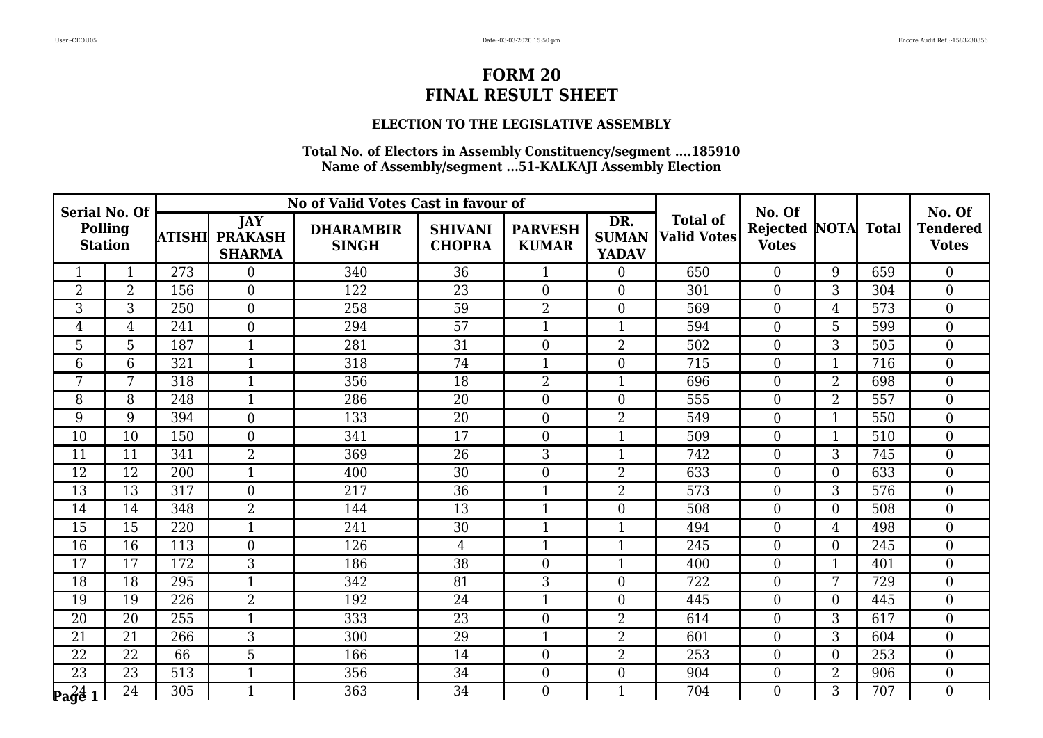### **ELECTION TO THE LEGISLATIVE ASSEMBLY**

| <b>Serial No. Of</b><br>Polling<br><b>Station</b> |                |        |                                               | No of Valid Votes Cast in favour of |                                 |                                |                                     |                                       | No. Of                               |                  |              | No. Of                          |
|---------------------------------------------------|----------------|--------|-----------------------------------------------|-------------------------------------|---------------------------------|--------------------------------|-------------------------------------|---------------------------------------|--------------------------------------|------------------|--------------|---------------------------------|
|                                                   |                | ATISHI | <b>JAY</b><br><b>PRAKASH</b><br><b>SHARMA</b> | <b>DHARAMBIR</b><br><b>SINGH</b>    | <b>SHIVANI</b><br><b>CHOPRA</b> | <b>PARVESH</b><br><b>KUMAR</b> | DR.<br><b>SUMAN</b><br><b>YADAV</b> | <b>Total of</b><br><b>Valid Votes</b> | <b>Rejected NOTA</b><br><b>Votes</b> |                  | <b>Total</b> | <b>Tendered</b><br><b>Votes</b> |
|                                                   | $\mathbf{1}$   | 273    | $\overline{0}$                                | 340                                 | 36                              | $\mathbf{1}$                   | $\boldsymbol{0}$                    | 650                                   | $\overline{0}$                       | 9                | 659          | $\overline{0}$                  |
| $\overline{2}$                                    | $\overline{2}$ | 156    | $\overline{0}$                                | 122                                 | 23                              | $\mathbf{0}$                   | $\boldsymbol{0}$                    | 301                                   | $\boldsymbol{0}$                     | 3                | 304          | $\mathbf{0}$                    |
| 3                                                 | 3              | 250    | $\overline{0}$                                | 258                                 | 59                              | $\overline{2}$                 | $\boldsymbol{0}$                    | 569                                   | $\boldsymbol{0}$                     | $\overline{4}$   | 573          | $\boldsymbol{0}$                |
| $\overline{4}$                                    | $\overline{4}$ | 241    | $\overline{0}$                                | 294                                 | 57                              | $\mathbf{1}$                   | $\mathbf{1}$                        | 594                                   | $\overline{0}$                       | 5                | 599          | $\mathbf{0}$                    |
| 5                                                 | 5              | 187    | $\mathbf{1}$                                  | 281                                 | $\overline{31}$                 | $\boldsymbol{0}$               | $\overline{2}$                      | 502                                   | $\boldsymbol{0}$                     | 3                | 505          | $\mathbf{0}$                    |
| 6                                                 | $6\phantom{1}$ | 321    | $\mathbf{1}$                                  | 318                                 | 74                              | $\mathbf{1}$                   | $\boldsymbol{0}$                    | 715                                   | $\boldsymbol{0}$                     | $\mathbf{1}$     | 716          | $\boldsymbol{0}$                |
| 7                                                 | 7              | 318    | $\mathbf{1}$                                  | 356                                 | 18                              | $\overline{2}$                 | $\mathbf{1}$                        | 696                                   | $\overline{0}$                       | $\overline{2}$   | 698          | $\mathbf{0}$                    |
| 8                                                 | 8              | 248    | $\mathbf{1}$                                  | 286                                 | 20                              | $\mathbf{0}$                   | $\overline{0}$                      | 555                                   | $\boldsymbol{0}$                     | $\overline{2}$   | 557          | $\boldsymbol{0}$                |
| 9                                                 | 9              | 394    | $\overline{0}$                                | 133                                 | 20                              | $\mathbf{0}$                   | $\overline{2}$                      | 549                                   | $\boldsymbol{0}$                     | $\mathbf{1}$     | 550          | $\mathbf{0}$                    |
| 10                                                | 10             | 150    | $\overline{0}$                                | 341                                 | 17                              | $\mathbf{0}$                   | $\mathbf{1}$                        | 509                                   | $\overline{0}$                       | $\mathbf{1}$     | 510          | $\boldsymbol{0}$                |
| 11                                                | 11             | 341    | $\overline{2}$                                | 369                                 | 26                              | 3                              | $\mathbf{1}$                        | 742                                   | $\overline{0}$                       | 3                | 745          | $\boldsymbol{0}$                |
| 12                                                | 12             | 200    | $\mathbf{1}$                                  | 400                                 | 30                              | $\boldsymbol{0}$               | $\overline{2}$                      | 633                                   | $\boldsymbol{0}$                     | $\boldsymbol{0}$ | 633          | $\boldsymbol{0}$                |
| 13                                                | 13             | 317    | $\overline{0}$                                | 217                                 | 36                              | $\mathbf{1}$                   | $\overline{2}$                      | 573                                   | $\overline{0}$                       | 3                | 576          | $\boldsymbol{0}$                |
| 14                                                | 14             | 348    | $\overline{2}$                                | 144                                 | 13                              | $\mathbf{1}$                   | $\boldsymbol{0}$                    | 508                                   | $\overline{0}$                       | $\overline{0}$   | 508          | $\overline{0}$                  |
| 15                                                | 15             | 220    | $\mathbf{1}$                                  | 241                                 | 30                              | $\mathbf{1}$                   | $\mathbf{1}$                        | 494                                   | $\boldsymbol{0}$                     | $\overline{4}$   | 498          | $\boldsymbol{0}$                |
| 16                                                | 16             | 113    | $\overline{0}$                                | 126                                 | $\overline{4}$                  | $\mathbf{1}$                   | $\mathbf{1}$                        | 245                                   | $\overline{0}$                       | $\overline{0}$   | 245          | $\overline{0}$                  |
| 17                                                | 17             | 172    | $\overline{3}$                                | 186                                 | $\overline{38}$                 | $\overline{0}$                 | $\mathbf{1}$                        | 400                                   | $\boldsymbol{0}$                     | 1                | 401          | $\mathbf{0}$                    |
| 18                                                | 18             | 295    | $\mathbf{1}$                                  | 342                                 | 81                              | 3                              | $\boldsymbol{0}$                    | 722                                   | $\boldsymbol{0}$                     | 7                | 729          | $\boldsymbol{0}$                |
| 19                                                | 19             | 226    | 2                                             | 192                                 | 24                              | $\mathbf{1}$                   | $\overline{0}$                      | 445                                   | $\overline{0}$                       | $\Omega$         | 445          | $\mathbf{0}$                    |
| 20                                                | 20             | 255    | $\mathbf{1}$                                  | 333                                 | 23                              | $\overline{0}$                 | $\overline{2}$                      | 614                                   | $\boldsymbol{0}$                     | 3                | 617          | $\mathbf{0}$                    |
| 21                                                | 21             | 266    | 3                                             | 300                                 | 29                              | $\mathbf{1}$                   | $\overline{2}$                      | 601                                   | $\mathbf{0}$                         | 3                | 604          | $\boldsymbol{0}$                |
| 22                                                | 22             | 66     | 5 <sup>2</sup>                                | 166                                 | 14                              | $\overline{0}$                 | $\overline{2}$                      | 253                                   | $\overline{0}$                       | $\overline{0}$   | 253          | $\mathbf{0}$                    |
| 23                                                | 23             | 513    | $\mathbf{1}$                                  | 356                                 | 34                              | $\overline{0}$                 | $\boldsymbol{0}$                    | 904                                   | $\boldsymbol{0}$                     | $\overline{2}$   | 906          | $\boldsymbol{0}$                |
| $\mathbf{p_4} \substack{24 \ 1}$                  | 24             | 305    | $\mathbf{1}$                                  | 363                                 | 34                              | $\boldsymbol{0}$               | $\mathbf{1}$                        | 704                                   | $\overline{0}$                       | 3                | 707          | $\boldsymbol{0}$                |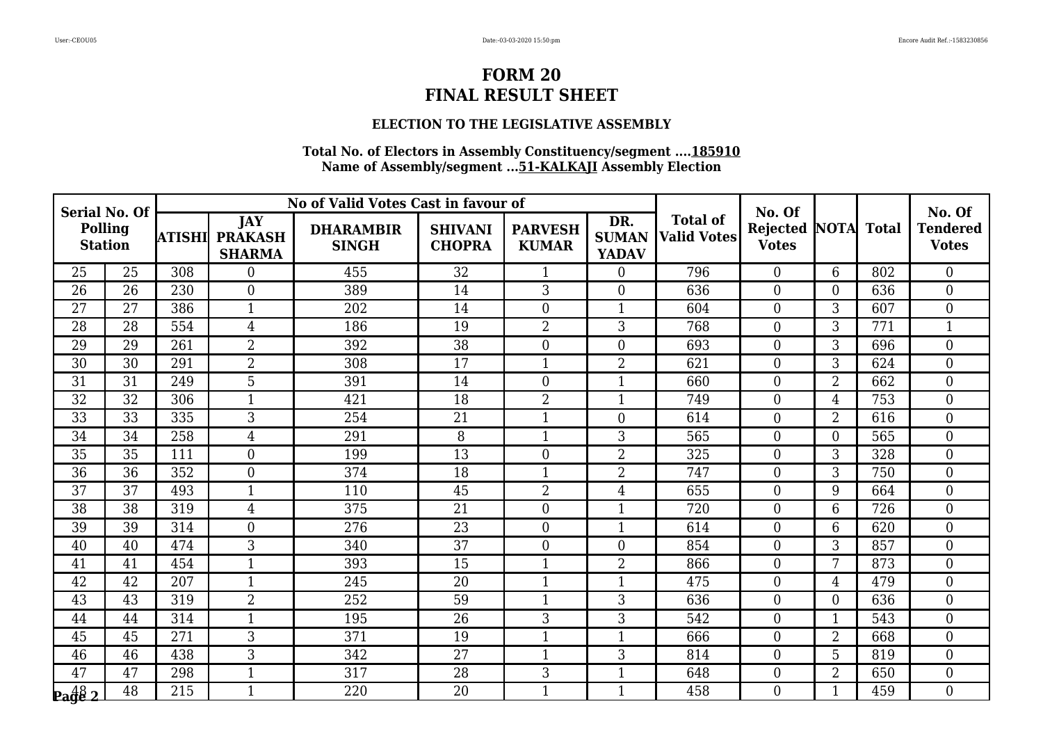### **ELECTION TO THE LEGISLATIVE ASSEMBLY**

| <b>Serial No. Of</b><br><b>Polling</b><br><b>Station</b> |                 |        |                                               | No of Valid Votes Cast in favour of |                                 |                                |                                     |                                       | No. Of                               |                |              | No. Of                          |
|----------------------------------------------------------|-----------------|--------|-----------------------------------------------|-------------------------------------|---------------------------------|--------------------------------|-------------------------------------|---------------------------------------|--------------------------------------|----------------|--------------|---------------------------------|
|                                                          |                 | ATISHI | <b>JAY</b><br><b>PRAKASH</b><br><b>SHARMA</b> | <b>DHARAMBIR</b><br><b>SINGH</b>    | <b>SHIVANI</b><br><b>CHOPRA</b> | <b>PARVESH</b><br><b>KUMAR</b> | DR.<br><b>SUMAN</b><br><b>YADAV</b> | <b>Total of</b><br><b>Valid Votes</b> | <b>Rejected NOTA</b><br><b>Votes</b> |                | <b>Total</b> | <b>Tendered</b><br><b>Votes</b> |
| 25                                                       | 25              | 308    | $\Omega$                                      | 455                                 | 32                              | 1                              | $\overline{0}$                      | 796                                   | $\overline{0}$                       | 6              | 802          | $\boldsymbol{0}$                |
| 26                                                       | 26              | 230    | $\overline{0}$                                | 389                                 | 14                              | 3                              | $\boldsymbol{0}$                    | 636                                   | $\boldsymbol{0}$                     | $\overline{0}$ | 636          | $\boldsymbol{0}$                |
| $\overline{27}$                                          | 27              | 386    | $\mathbf{1}$                                  | 202                                 | 14                              | $\overline{0}$                 | $\mathbf{1}$                        | 604                                   | $\overline{0}$                       | $\overline{3}$ | 607          | $\overline{0}$                  |
| 28                                                       | 28              | 554    | $\overline{4}$                                | 186                                 | 19                              | $\overline{2}$                 | 3                                   | 768                                   | $\boldsymbol{0}$                     | 3              | 771          | $\mathbf{1}$                    |
| 29                                                       | 29              | 261    | $\overline{2}$                                | 392                                 | 38                              | $\boldsymbol{0}$               | $\boldsymbol{0}$                    | 693                                   | $\boldsymbol{0}$                     | 3              | 696          | $\boldsymbol{0}$                |
| 30                                                       | 30              | 291    | $\overline{2}$                                | 308                                 | $\overline{17}$                 | $\mathbf{1}$                   | $\overline{2}$                      | 621                                   | $\overline{0}$                       | 3              | 624          | $\overline{0}$                  |
| 31                                                       | 31              | 249    | 5                                             | 391                                 | 14                              | $\mathbf{0}$                   | $\mathbf{1}$                        | 660                                   | $\boldsymbol{0}$                     | $\overline{2}$ | 662          | $\boldsymbol{0}$                |
| 32                                                       | 32              | 306    | $\mathbf{1}$                                  | 421                                 | 18                              | $\overline{2}$                 | $\mathbf{1}$                        | 749                                   | $\boldsymbol{0}$                     | 4              | 753          | $\boldsymbol{0}$                |
| $\overline{33}$                                          | $\overline{33}$ | 335    | $\overline{3}$                                | 254                                 | $\overline{21}$                 | $\mathbf{1}$                   | $\overline{0}$                      | 614                                   | $\overline{0}$                       | $\overline{2}$ | 616          | $\overline{0}$                  |
| 34                                                       | 34              | 258    | $\overline{4}$                                | 291                                 | 8                               | $\mathbf{1}$                   | 3                                   | 565                                   | $\boldsymbol{0}$                     | $\overline{0}$ | 565          | $\mathbf{0}$                    |
| 35                                                       | 35              | 111    | $\overline{0}$                                | 199                                 | 13                              | $\boldsymbol{0}$               | $\overline{2}$                      | 325                                   | $\boldsymbol{0}$                     | 3              | 328          | $\boldsymbol{0}$                |
| 36                                                       | 36              | 352    | $\Omega$                                      | 374                                 | 18                              | $\mathbf{1}$                   | $\overline{2}$                      | 747                                   | $\overline{0}$                       | $\overline{3}$ | 750          | $\overline{0}$                  |
| 37                                                       | 37              | 493    | $\mathbf{1}$                                  | 110                                 | 45                              | $\overline{2}$                 | $\overline{4}$                      | 655                                   | $\boldsymbol{0}$                     | 9              | 664          | $\boldsymbol{0}$                |
| 38                                                       | 38              | 319    | $\overline{4}$                                | 375                                 | 21                              | $\boldsymbol{0}$               | $\mathbf{1}$                        | 720                                   | $\boldsymbol{0}$                     | 6              | 726          | $\boldsymbol{0}$                |
| 39                                                       | 39              | 314    | $\overline{0}$                                | 276                                 | $\overline{23}$                 | $\mathbf{0}$                   | $\mathbf{1}$                        | 614                                   | $\overline{0}$                       | 6              | 620          | $\overline{0}$                  |
| 40                                                       | 40              | 474    | $\overline{3}$                                | 340                                 | 37                              | $\mathbf{0}$                   | $\boldsymbol{0}$                    | 854                                   | $\boldsymbol{0}$                     | 3              | 857          | $\boldsymbol{0}$                |
| 41                                                       | 41              | 454    | $\mathbf{1}$                                  | 393                                 | 15                              | $\mathbf{1}$                   | $\overline{2}$                      | 866                                   | $\boldsymbol{0}$                     | 7              | 873          | $\boldsymbol{0}$                |
| $\overline{42}$                                          | $\overline{42}$ | 207    | $\mathbf{1}$                                  | 245                                 | $\overline{20}$                 | $\mathbf{1}$                   | $\mathbf{1}$                        | 475                                   | $\overline{0}$                       | $\overline{4}$ | 479          | $\overline{0}$                  |
| 43                                                       | 43              | 319    | $\overline{2}$                                | 252                                 | 59                              | $\mathbf{1}$                   | 3                                   | 636                                   | $\boldsymbol{0}$                     | $\overline{0}$ | 636          | $\boldsymbol{0}$                |
| 44                                                       | 44              | 314    | $\mathbf{1}$                                  | 195                                 | 26                              | 3                              | 3                                   | 542                                   | $\boldsymbol{0}$                     | $\mathbf{1}$   | 543          | $\boldsymbol{0}$                |
| 45                                                       | 45              | 271    | $\overline{3}$                                | 371                                 | 19                              | $\mathbf{1}$                   | $\mathbf{1}$                        | 666                                   | $\overline{0}$                       | $\overline{2}$ | 668          | $\overline{0}$                  |
| 46                                                       | 46              | 438    | $\overline{3}$                                | 342                                 | 27                              | 1                              | 3                                   | 814                                   | $\boldsymbol{0}$                     | 5              | 819          | $\boldsymbol{0}$                |
| 47                                                       | $\overline{47}$ | 298    | $\mathbf{1}$                                  | 317                                 | 28                              | $\sqrt{3}$                     | $\mathbf{1}$                        | 648                                   | $\boldsymbol{0}$                     | $\overline{2}$ | 650          | $\boldsymbol{0}$                |
| $\frac{48}{2}$                                           | $\overline{48}$ | 215    | $\mathbf{1}$                                  | 220                                 | 20                              | $\mathbf{1}$                   | $\mathbf{1}$                        | 458                                   | $\overline{0}$                       | $\mathbf{1}$   | 459          | $\overline{0}$                  |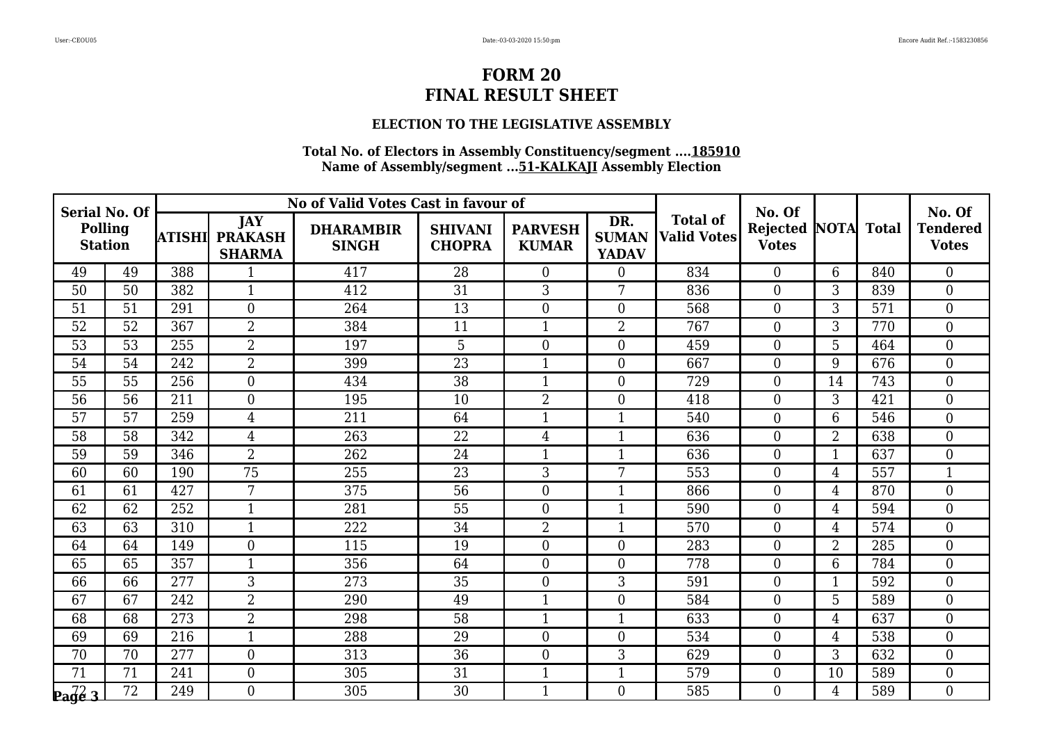### **ELECTION TO THE LEGISLATIVE ASSEMBLY**

| <b>Serial No. Of</b><br><b>Polling</b><br><b>Station</b> |                 |        |                                               | No of Valid Votes Cast in favour of |                                 |                                |                                     |                                       | No. Of                               |                |              | No. Of                          |
|----------------------------------------------------------|-----------------|--------|-----------------------------------------------|-------------------------------------|---------------------------------|--------------------------------|-------------------------------------|---------------------------------------|--------------------------------------|----------------|--------------|---------------------------------|
|                                                          |                 | ATISHI | <b>JAY</b><br><b>PRAKASH</b><br><b>SHARMA</b> | <b>DHARAMBIR</b><br><b>SINGH</b>    | <b>SHIVANI</b><br><b>CHOPRA</b> | <b>PARVESH</b><br><b>KUMAR</b> | DR.<br><b>SUMAN</b><br><b>YADAV</b> | <b>Total of</b><br><b>Valid Votes</b> | <b>Rejected NOTA</b><br><b>Votes</b> |                | <b>Total</b> | <b>Tendered</b><br><b>Votes</b> |
| 49                                                       | 49              | 388    | 1                                             | 417                                 | 28                              | $\overline{0}$                 | $\overline{0}$                      | 834                                   | $\overline{0}$                       | 6              | 840          | $\boldsymbol{0}$                |
| 50                                                       | 50              | 382    | $\mathbf{1}$                                  | 412                                 | 31                              | 3                              | 7                                   | 836                                   | $\boldsymbol{0}$                     | 3              | 839          | $\boldsymbol{0}$                |
| 51                                                       | 51              | 291    | $\Omega$                                      | 264                                 | 13                              | $\overline{0}$                 | $\overline{0}$                      | 568                                   | $\overline{0}$                       | $\overline{3}$ | 571          | $\overline{0}$                  |
| 52                                                       | 52              | 367    | $\overline{2}$                                | 384                                 | 11                              | $\mathbf{1}$                   | $\overline{2}$                      | 767                                   | $\boldsymbol{0}$                     | 3              | 770          | $\boldsymbol{0}$                |
| 53                                                       | 53              | 255    | $\overline{2}$                                | 197                                 | 5                               | $\mathbf{0}$                   | $\boldsymbol{0}$                    | 459                                   | $\boldsymbol{0}$                     | 5              | 464          | $\boldsymbol{0}$                |
| 54                                                       | 54              | 242    | $\overline{2}$                                | 399                                 | $\overline{23}$                 | $\mathbf{1}$                   | $\overline{0}$                      | 667                                   | $\overline{0}$                       | 9              | 676          | $\overline{0}$                  |
| 55                                                       | 55              | 256    | $\overline{0}$                                | 434                                 | 38                              | $\mathbf{1}$                   | $\boldsymbol{0}$                    | 729                                   | $\boldsymbol{0}$                     | 14             | 743          | $\boldsymbol{0}$                |
| 56                                                       | 56              | 211    | $\overline{0}$                                | 195                                 | 10                              | $\overline{2}$                 | $\boldsymbol{0}$                    | 418                                   | $\boldsymbol{0}$                     | 3              | 421          | $\boldsymbol{0}$                |
| $\overline{57}$                                          | $\overline{57}$ | 259    | $\overline{4}$                                | $\overline{211}$                    | 64                              | $\mathbf{1}$                   | $\mathbf{1}$                        | 540                                   | $\overline{0}$                       | 6              | 546          | $\overline{0}$                  |
| 58                                                       | 58              | 342    | $\overline{4}$                                | 263                                 | 22                              | $\overline{4}$                 | $\mathbf{1}$                        | 636                                   | $\boldsymbol{0}$                     | $\overline{2}$ | 638          | $\boldsymbol{0}$                |
| 59                                                       | 59              | 346    | $\overline{2}$                                | 262                                 | 24                              | $\mathbf{1}$                   | $\mathbf{1}$                        | 636                                   | $\boldsymbol{0}$                     | $\mathbf{1}$   | 637          | $\boldsymbol{0}$                |
| 60                                                       | 60              | 190    | 75                                            | 255                                 | 23                              | 3                              | 7                                   | 553                                   | $\overline{0}$                       | 4              | 557          | $\overline{1}$                  |
| 61                                                       | 61              | 427    | 7                                             | 375                                 | 56                              | $\mathbf{0}$                   | $\mathbf{1}$                        | 866                                   | $\boldsymbol{0}$                     | 4              | 870          | $\boldsymbol{0}$                |
| 62                                                       | 62              | 252    | $\mathbf{1}$                                  | 281                                 | 55                              | $\boldsymbol{0}$               | $\mathbf{1}$                        | 590                                   | $\boldsymbol{0}$                     | $\overline{4}$ | 594          | $\boldsymbol{0}$                |
| 63                                                       | 63              | 310    | $\overline{1}$                                | 222                                 | 34                              | $\overline{2}$                 | $\mathbf{1}$                        | 570                                   | $\overline{0}$                       | 4              | 574          | $\overline{0}$                  |
| 64                                                       | 64              | 149    | $\overline{0}$                                | 115                                 | 19                              | $\mathbf{0}$                   | $\boldsymbol{0}$                    | 283                                   | $\boldsymbol{0}$                     | $\overline{2}$ | 285          | $\boldsymbol{0}$                |
| 65                                                       | 65              | 357    | $\mathbf{1}$                                  | 356                                 | 64                              | $\mathbf{0}$                   | $\boldsymbol{0}$                    | 778                                   | $\boldsymbol{0}$                     | $6\phantom{1}$ | 784          | $\boldsymbol{0}$                |
| 66                                                       | 66              | 277    | $\overline{3}$                                | 273                                 | $\overline{35}$                 | $\overline{0}$                 | 3                                   | 591                                   | $\overline{0}$                       | $\mathbf{1}$   | 592          | $\overline{0}$                  |
| 67                                                       | 67              | 242    | $\overline{2}$                                | 290                                 | 49                              | $\mathbf{1}$                   | $\overline{0}$                      | 584                                   | $\boldsymbol{0}$                     | 5              | 589          | $\boldsymbol{0}$                |
| 68                                                       | 68              | 273    | $\overline{2}$                                | 298                                 | 58                              | $\mathbf{1}$                   | $\mathbf{1}$                        | 633                                   | $\boldsymbol{0}$                     | $\overline{4}$ | 637          | $\boldsymbol{0}$                |
| 69                                                       | 69              | 216    | $\mathbf{1}$                                  | 288                                 | 29                              | $\overline{0}$                 | $\overline{0}$                      | 534                                   | $\overline{0}$                       | $\overline{4}$ | 538          | $\overline{0}$                  |
| 70                                                       | 70              | 277    | $\overline{0}$                                | 313                                 | 36                              | $\overline{0}$                 | 3                                   | 629                                   | $\boldsymbol{0}$                     | 3              | 632          | $\boldsymbol{0}$                |
| 71                                                       | 71              | 241    | $\overline{0}$                                | 305                                 | 31                              | $\mathbf{1}$                   | $\mathbf{1}$                        | 579                                   | $\boldsymbol{0}$                     | 10             | 589          | $\boldsymbol{0}$                |
| $\sqrt{\frac{72}{9}}$                                    | $\overline{72}$ | 249    | $\Omega$                                      | 305                                 | $\overline{30}$                 | $\mathbf{1}$                   | $\overline{0}$                      | 585                                   | $\overline{0}$                       | $\overline{4}$ | 589          | $\overline{0}$                  |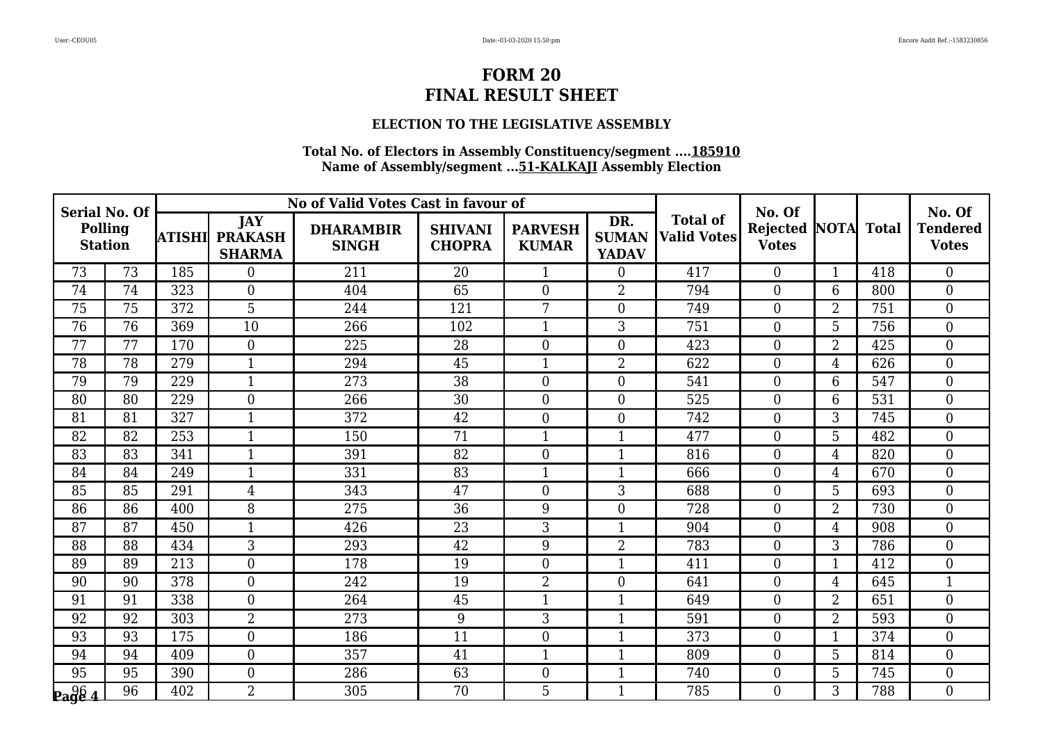### **ELECTION TO THE LEGISLATIVE ASSEMBLY**

| <b>Serial No. Of</b><br><b>Polling</b><br><b>Station</b> |                 |        |                                               | No of Valid Votes Cast in favour of |                                 |                                |                                     |                                       | No. Of                               |                |              | No. Of                          |
|----------------------------------------------------------|-----------------|--------|-----------------------------------------------|-------------------------------------|---------------------------------|--------------------------------|-------------------------------------|---------------------------------------|--------------------------------------|----------------|--------------|---------------------------------|
|                                                          |                 | ATISHI | <b>JAY</b><br><b>PRAKASH</b><br><b>SHARMA</b> | <b>DHARAMBIR</b><br><b>SINGH</b>    | <b>SHIVANI</b><br><b>CHOPRA</b> | <b>PARVESH</b><br><b>KUMAR</b> | DR.<br><b>SUMAN</b><br><b>YADAV</b> | <b>Total of</b><br><b>Valid Votes</b> | <b>Rejected NOTA</b><br><b>Votes</b> |                | <b>Total</b> | <b>Tendered</b><br><b>Votes</b> |
| 73                                                       | 73              | 185    | $\Omega$                                      | 211                                 | 20                              | 1                              | $\overline{0}$                      | 417                                   | $\Omega$                             | $\mathbf{1}$   | 418          | $\overline{0}$                  |
| 74                                                       | 74              | 323    | $\overline{0}$                                | 404                                 | 65                              | $\overline{0}$                 | $\overline{2}$                      | 794                                   | $\boldsymbol{0}$                     | 6              | 800          | $\boldsymbol{0}$                |
| 75                                                       | 75              | 372    | 5                                             | 244                                 | 121                             | 7                              | $\boldsymbol{0}$                    | 749                                   | $\boldsymbol{0}$                     | $\overline{2}$ | 751          | $\boldsymbol{0}$                |
| 76                                                       | 76              | 369    | 10                                            | 266                                 | 102                             | $\mathbf{1}$                   | 3                                   | 751                                   | $\overline{0}$                       | $\overline{5}$ | 756          | $\overline{0}$                  |
| 77                                                       | 77              | 170    | $\overline{0}$                                | 225                                 | 28                              | $\boldsymbol{0}$               | $\boldsymbol{0}$                    | 423                                   | $\boldsymbol{0}$                     | $\overline{2}$ | 425          | $\boldsymbol{0}$                |
| 78                                                       | 78              | 279    | $\mathbf{1}$                                  | 294                                 | 45                              | $\mathbf{1}$                   | $\overline{2}$                      | 622                                   | $\boldsymbol{0}$                     | 4              | 626          | $\boldsymbol{0}$                |
| 79                                                       | 79              | 229    | $\mathbf{1}$                                  | 273                                 | 38                              | $\mathbf{0}$                   | $\overline{0}$                      | 541                                   | $\overline{0}$                       | 6              | 547          | $\overline{0}$                  |
| 80                                                       | 80              | 229    | $\overline{0}$                                | 266                                 | 30                              | $\mathbf{0}$                   | $\boldsymbol{0}$                    | 525                                   | $\overline{0}$                       | 6              | 531          | $\boldsymbol{0}$                |
| 81                                                       | 81              | 327    | $\mathbf{1}$                                  | 372                                 | 42                              | $\overline{0}$                 | $\boldsymbol{0}$                    | 742                                   | $\boldsymbol{0}$                     | $\overline{3}$ | 745          | $\overline{0}$                  |
| 82                                                       | 82              | 253    | $\mathbf{1}$                                  | 150                                 | 71                              | $\mathbf{1}$                   | $\mathbf{1}$                        | 477                                   | $\overline{0}$                       | $\overline{5}$ | 482          | $\overline{0}$                  |
| 83                                                       | 83              | 341    | $\mathbf{1}$                                  | 391                                 | 82                              | $\mathbf{0}$                   | $\mathbf{1}$                        | 816                                   | $\overline{0}$                       | $\overline{4}$ | 820          | $\boldsymbol{0}$                |
| 84                                                       | 84              | 249    | $\mathbf{1}$                                  | 331                                 | 83                              | $\mathbf{1}$                   | $\mathbf{1}$                        | 666                                   | $\boldsymbol{0}$                     | $\overline{4}$ | 670          | $\overline{0}$                  |
| 85                                                       | 85              | 291    | 4                                             | 343                                 | 47                              | $\mathbf{0}$                   | 3                                   | 688                                   | $\boldsymbol{0}$                     | 5              | 693          | $\boldsymbol{0}$                |
| 86                                                       | $\overline{86}$ | 400    | 8                                             | 275                                 | 36                              | 9                              | $\overline{0}$                      | 728                                   | $\overline{0}$                       | $\overline{2}$ | 730          | $\mathbf{0}$                    |
| 87                                                       | 87              | 450    | $\mathbf{1}$                                  | 426                                 | 23                              | 3                              | $\mathbf{1}$                        | 904                                   | $\boldsymbol{0}$                     | $\overline{4}$ | 908          | $\overline{0}$                  |
| 88                                                       | 88              | 434    | 3                                             | 293                                 | 42                              | 9                              | 2                                   | 783                                   | $\boldsymbol{0}$                     | 3              | 786          | $\boldsymbol{0}$                |
| 89                                                       | 89              | 213    | $\Omega$                                      | 178                                 | 19                              | $\boldsymbol{0}$               | $\mathbf{1}$                        | 411                                   | $\boldsymbol{0}$                     | $\mathbf{1}$   | 412          | $\mathbf{0}$                    |
| 90                                                       | 90              | 378    | $\overline{0}$                                | 242                                 | 19                              | $\overline{2}$                 | $\overline{0}$                      | 641                                   | $\overline{0}$                       | $\overline{4}$ | 645          | $\mathbf{1}$                    |
| 91                                                       | 91              | 338    | $\overline{0}$                                | 264                                 | 45                              | $\mathbf{1}$                   | $\mathbf{1}$                        | 649                                   | $\boldsymbol{0}$                     | $\overline{2}$ | 651          | $\boldsymbol{0}$                |
| 92                                                       | 92              | 303    | $\overline{2}$                                | 273                                 | 9                               | 3                              | $\mathbf{1}$                        | 591                                   | $\boldsymbol{0}$                     | $\overline{2}$ | 593          | $\mathbf{0}$                    |
| 93                                                       | 93              | 175    | $\overline{0}$                                | 186                                 | $\overline{11}$                 | $\overline{0}$                 | $\mathbf{1}$                        | 373                                   | $\overline{0}$                       | $\mathbf{1}$   | 374          | $\overline{0}$                  |
| 94                                                       | 94              | 409    | $\overline{0}$                                | 357                                 | 41                              | $\mathbf{1}$                   | $\mathbf{1}$                        | 809                                   | $\boldsymbol{0}$                     | 5              | 814          | $\boldsymbol{0}$                |
| $\overline{95}$                                          | $\overline{95}$ | 390    | $\overline{0}$                                | 286                                 | 63                              | $\overline{0}$                 | $\mathbf{1}$                        | 740                                   | $\boldsymbol{0}$                     | 5              | 745          | $\boldsymbol{0}$                |
| $\mathbf{p}_{\mathbf{a}}\mathbf{g}\mathbf{\hat{e}}$ 4    | $\overline{96}$ | 402    | $\overline{2}$                                | 305                                 | 70                              | 5                              | $\mathbf{1}$                        | 785                                   | $\overline{0}$                       | 3              | 788          | $\overline{0}$                  |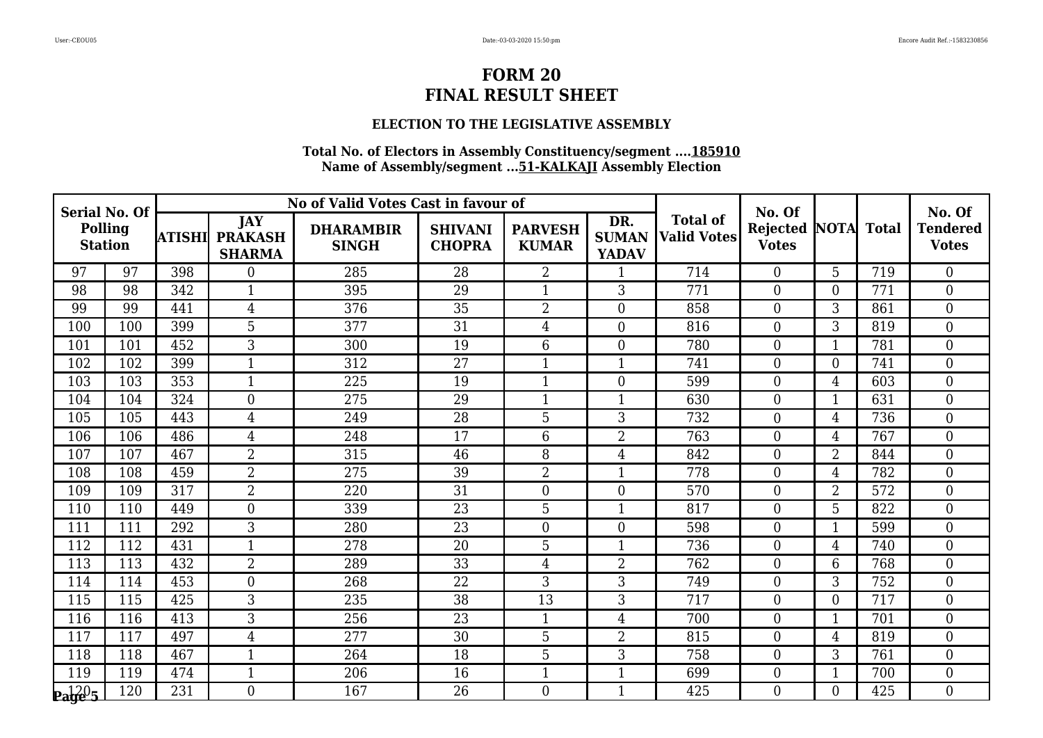### **ELECTION TO THE LEGISLATIVE ASSEMBLY**

| <b>Serial No. Of</b><br><b>Polling</b><br><b>Station</b> |     |        |                                               | No of Valid Votes Cast in favour of |                                 |                                |                                     |                                       | No. Of                                     |                  |     | No. Of                          |
|----------------------------------------------------------|-----|--------|-----------------------------------------------|-------------------------------------|---------------------------------|--------------------------------|-------------------------------------|---------------------------------------|--------------------------------------------|------------------|-----|---------------------------------|
|                                                          |     | ATISHI | <b>JAY</b><br><b>PRAKASH</b><br><b>SHARMA</b> | <b>DHARAMBIR</b><br><b>SINGH</b>    | <b>SHIVANI</b><br><b>CHOPRA</b> | <b>PARVESH</b><br><b>KUMAR</b> | DR.<br><b>SUMAN</b><br><b>YADAV</b> | <b>Total of</b><br><b>Valid Votes</b> | <b>Rejected NOTA Total</b><br><b>Votes</b> |                  |     | <b>Tendered</b><br><b>Votes</b> |
| 97                                                       | 97  | 398    | $\theta$                                      | 285                                 | 28                              | $\overline{2}$                 | 1                                   | 714                                   | $\Omega$                                   | 5                | 719 | $\overline{0}$                  |
| 98                                                       | 98  | 342    | $\mathbf 1$                                   | 395                                 | 29                              | $\mathbf{1}$                   | 3                                   | 771                                   | $\boldsymbol{0}$                           | $\theta$         | 771 | $\boldsymbol{0}$                |
| 99                                                       | 99  | 441    | 4                                             | 376                                 | 35                              | $\overline{2}$                 | $\overline{0}$                      | 858                                   | $\overline{0}$                             | 3                | 861 | $\boldsymbol{0}$                |
| 100                                                      | 100 | 399    | $\overline{5}$                                | 377                                 | $\overline{31}$                 | $\overline{4}$                 | $\overline{0}$                      | 816                                   | $\overline{0}$                             | 3                | 819 | $\overline{0}$                  |
| 101                                                      | 101 | 452    | 3                                             | 300                                 | 19                              | $6\phantom{.}6$                | $\overline{0}$                      | 780                                   | $\overline{0}$                             | 1                | 781 | $\boldsymbol{0}$                |
| 102                                                      | 102 | 399    | 1                                             | 312                                 | 27                              | $\mathbf{1}$                   | $\mathbf{1}$                        | 741                                   | $\mathbf{0}$                               | $\boldsymbol{0}$ | 741 | $\boldsymbol{0}$                |
| 103                                                      | 103 | 353    | $\mathbf{1}$                                  | 225                                 | 19                              | $\mathbf{1}$                   | $\overline{0}$                      | 599                                   | $\overline{0}$                             | $\overline{4}$   | 603 | $\overline{0}$                  |
| 104                                                      | 104 | 324    | $\overline{0}$                                | 275                                 | 29                              | $\mathbf{1}$                   | $\mathbf{1}$                        | 630                                   | $\overline{0}$                             | $\mathbf{1}$     | 631 | $\boldsymbol{0}$                |
| 105                                                      | 105 | 443    | $\overline{4}$                                | 249                                 | $\overline{28}$                 | $\overline{5}$                 | 3                                   | 732                                   | $\overline{0}$                             | 4                | 736 | $\overline{0}$                  |
| 106                                                      | 106 | 486    | $\overline{4}$                                | 248                                 | 17                              | $6\phantom{1}$                 | $\overline{2}$                      | 763                                   | $\overline{0}$                             | $\overline{4}$   | 767 | $\overline{0}$                  |
| 107                                                      | 107 | 467    | $\overline{2}$                                | 315                                 | 46                              | 8                              | $\overline{4}$                      | 842                                   | $\overline{0}$                             | $\overline{2}$   | 844 | $\boldsymbol{0}$                |
| 108                                                      | 108 | 459    | $\overline{2}$                                | 275                                 | 39                              | $\overline{2}$                 | $\mathbf{1}$                        | 778                                   | $\boldsymbol{0}$                           | 4                | 782 | $\overline{0}$                  |
| 109                                                      | 109 | 317    | 2                                             | 220                                 | 31                              | $\boldsymbol{0}$               | $\overline{0}$                      | 570                                   | $\boldsymbol{0}$                           | $\overline{2}$   | 572 | $\boldsymbol{0}$                |
| 110                                                      | 110 | 449    | $\overline{0}$                                | 339                                 | 23                              | 5                              | $\mathbf{1}$                        | 817                                   | $\overline{0}$                             | 5                | 822 | $\overline{0}$                  |
| 111                                                      | 111 | 292    | 3                                             | 280                                 | 23                              | $\boldsymbol{0}$               | $\overline{0}$                      | 598                                   | $\overline{0}$                             | $\mathbf{1}$     | 599 | $\overline{0}$                  |
| 112                                                      | 112 | 431    | $\mathbf{1}$                                  | 278                                 | 20                              | 5                              | 1                                   | 736                                   | $\boldsymbol{0}$                           | $\overline{4}$   | 740 | $\boldsymbol{0}$                |
| 113                                                      | 113 | 432    | $\overline{2}$                                | 289                                 | 33                              | $\overline{4}$                 | $\overline{2}$                      | 762                                   | $\overline{0}$                             | 6                | 768 | $\overline{0}$                  |
| 114                                                      | 114 | 453    | $\theta$                                      | 268                                 | $\overline{22}$                 | 3                              | 3                                   | 749                                   | $\overline{0}$                             | 3                | 752 | $\overline{0}$                  |
| 115                                                      | 115 | 425    | 3                                             | 235                                 | 38                              | 13                             | 3                                   | 717                                   | $\overline{0}$                             | $\boldsymbol{0}$ | 717 | $\boldsymbol{0}$                |
| 116                                                      | 116 | 413    | 3                                             | 256                                 | 23                              | $\mathbf{1}$                   | $\overline{4}$                      | 700                                   | $\overline{0}$                             | $\mathbf{1}$     | 701 | $\boldsymbol{0}$                |
| 117                                                      | 117 | 497    | $\overline{4}$                                | 277                                 | 30                              | 5                              | $\overline{2}$                      | 815                                   | $\overline{0}$                             | $\overline{4}$   | 819 | $\overline{0}$                  |
| 118                                                      | 118 | 467    | 1                                             | 264                                 | 18                              | 5                              | 3                                   | 758                                   | $\boldsymbol{0}$                           | 3                | 761 | $\boldsymbol{0}$                |
| 119                                                      | 119 | 474    | $\mathbf{1}$                                  | 206                                 | 16                              | $\mathbf{1}$                   | $\mathbf{1}$                        | 699                                   | $\boldsymbol{0}$                           | $\mathbf{1}$     | 700 | $\boldsymbol{0}$                |
| $\mathbf{p_1}^{120}$ 5                                   | 120 | 231    | $\Omega$                                      | 167                                 | 26                              | $\overline{0}$                 | $\mathbf{1}$                        | 425                                   | $\theta$                                   | $\Omega$         | 425 | $\overline{0}$                  |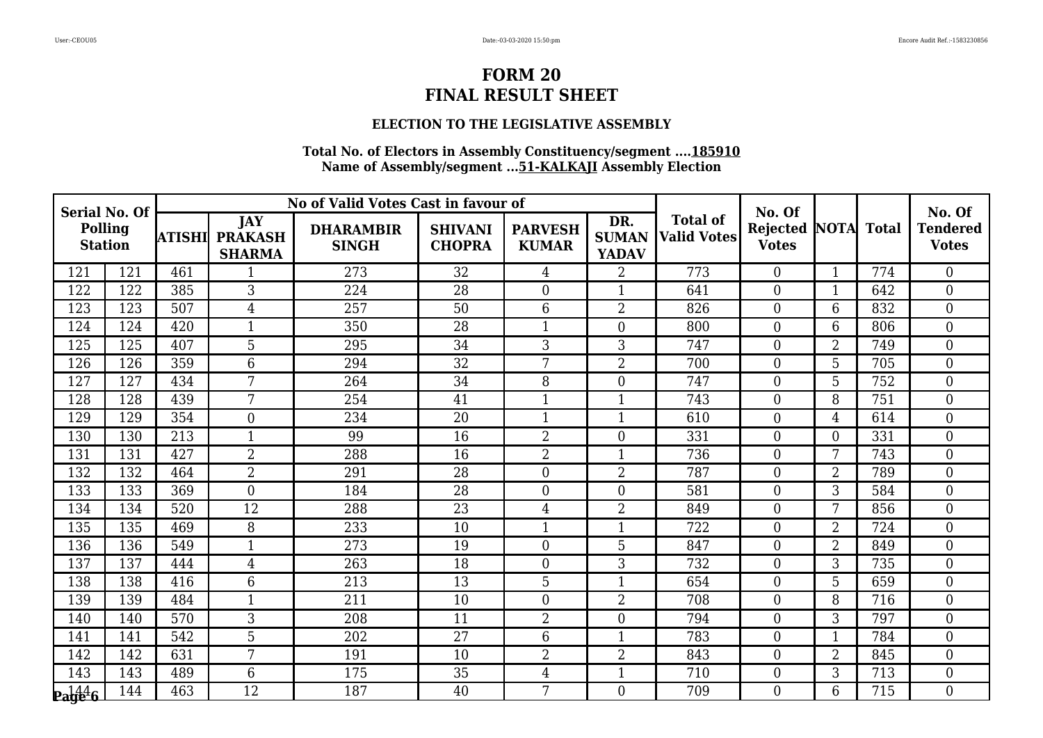### **ELECTION TO THE LEGISLATIVE ASSEMBLY**

| <b>Serial No. Of</b><br>Polling<br><b>Station</b> |     |        |                                               | No of Valid Votes Cast in favour of |                                 |                                |                                     |                                       | No. Of                                     |                |     | No. Of                          |
|---------------------------------------------------|-----|--------|-----------------------------------------------|-------------------------------------|---------------------------------|--------------------------------|-------------------------------------|---------------------------------------|--------------------------------------------|----------------|-----|---------------------------------|
|                                                   |     | ATISHI | <b>JAY</b><br><b>PRAKASH</b><br><b>SHARMA</b> | <b>DHARAMBIR</b><br><b>SINGH</b>    | <b>SHIVANI</b><br><b>CHOPRA</b> | <b>PARVESH</b><br><b>KUMAR</b> | DR.<br><b>SUMAN</b><br><b>YADAV</b> | <b>Total of</b><br><b>Valid Votes</b> | <b>Rejected NOTA Total</b><br><b>Votes</b> |                |     | <b>Tendered</b><br><b>Votes</b> |
| 121                                               | 121 | 461    |                                               | 273                                 | 32                              | 4                              | $\overline{2}$                      | 773                                   | $\overline{0}$                             | $\mathbf{1}$   | 774 | $\overline{0}$                  |
| 122                                               | 122 | 385    | 3                                             | 224                                 | 28                              | $\boldsymbol{0}$               | 1                                   | 641                                   | $\boldsymbol{0}$                           | 1              | 642 | $\overline{0}$                  |
| 123                                               | 123 | 507    | $\overline{4}$                                | 257                                 | 50                              | $6\overline{6}$                | $\overline{2}$                      | 826                                   | $\overline{0}$                             | 6              | 832 | $\overline{0}$                  |
| 124                                               | 124 | 420    | 1                                             | 350                                 | 28                              | $\mathbf{1}$                   | $\overline{0}$                      | 800                                   | $\overline{0}$                             | 6              | 806 | $\overline{0}$                  |
| 125                                               | 125 | 407    | 5                                             | 295                                 | 34                              | 3                              | 3                                   | 747                                   | $\boldsymbol{0}$                           | 2              | 749 | $\overline{0}$                  |
| 126                                               | 126 | 359    | 6                                             | 294                                 | $\overline{32}$                 | 7                              | $\overline{2}$                      | 700                                   | $\overline{0}$                             | 5              | 705 | $\overline{0}$                  |
| 127                                               | 127 | 434    | $\overline{7}$                                | 264                                 | 34                              | 8                              | $\mathbf{0}$                        | 747                                   | $\overline{0}$                             | 5              | 752 | $\mathbf{0}$                    |
| 128                                               | 128 | 439    | 7                                             | 254                                 | 41                              | 1                              | $\mathbf{1}$                        | 743                                   | $\boldsymbol{0}$                           | 8              | 751 | $\boldsymbol{0}$                |
| 129                                               | 129 | 354    | $\theta$                                      | 234                                 | $\overline{20}$                 | $\mathbf{1}$                   | $\mathbf{1}$                        | 610                                   | $\overline{0}$                             | $\overline{4}$ | 614 | $\overline{0}$                  |
| 130                                               | 130 | 213    | 1                                             | 99                                  | 16                              | $\overline{2}$                 | $\overline{0}$                      | 331                                   | $\overline{0}$                             | $\overline{0}$ | 331 | $\boldsymbol{0}$                |
| 131                                               | 131 | 427    | $\overline{2}$                                | 288                                 | 16                              | $\overline{2}$                 | $\mathbf{1}$                        | 736                                   | $\boldsymbol{0}$                           | 7              | 743 | $\boldsymbol{0}$                |
| 132                                               | 132 | 464    | $\overline{2}$                                | 291                                 | 28                              | $\overline{0}$                 | $\overline{2}$                      | 787                                   | $\overline{0}$                             | $\overline{2}$ | 789 | $\overline{0}$                  |
| 133                                               | 133 | 369    | $\overline{0}$                                | 184                                 | 28                              | $\boldsymbol{0}$               | $\overline{0}$                      | 581                                   | $\overline{0}$                             | 3              | 584 | $\boldsymbol{0}$                |
| 134                                               | 134 | 520    | 12                                            | 288                                 | 23                              | $\overline{4}$                 | $\overline{2}$                      | 849                                   | $\overline{0}$                             | 7              | 856 | $\boldsymbol{0}$                |
| 135                                               | 135 | 469    | 8                                             | 233                                 | 10                              | $\mathbf{1}$                   | $\mathbf{1}$                        | 722                                   | $\overline{0}$                             | $\overline{2}$ | 724 | $\overline{0}$                  |
| 136                                               | 136 | 549    | 1                                             | 273                                 | 19                              | $\boldsymbol{0}$               | 5                                   | 847                                   | $\boldsymbol{0}$                           | $\overline{2}$ | 849 | $\boldsymbol{0}$                |
| 137                                               | 137 | 444    | $\overline{4}$                                | 263                                 | 18                              | $\boldsymbol{0}$               | 3                                   | 732                                   | $\boldsymbol{0}$                           | 3              | 735 | $\overline{0}$                  |
| 138                                               | 138 | 416    | 6                                             | 213                                 | $\overline{13}$                 | $\overline{5}$                 | $\mathbf{1}$                        | 654                                   | $\overline{0}$                             | 5              | 659 | $\overline{0}$                  |
| 139                                               | 139 | 484    | 1                                             | 211                                 | 10                              | $\boldsymbol{0}$               | $\overline{2}$                      | 708                                   | $\overline{0}$                             | 8              | 716 | $\boldsymbol{0}$                |
| 140                                               | 140 | 570    | 3                                             | 208                                 | 11                              | $\overline{2}$                 | $\overline{0}$                      | 794                                   | $\boldsymbol{0}$                           | 3              | 797 | $\boldsymbol{0}$                |
| 141                                               | 141 | 542    | 5                                             | 202                                 | 27                              | $6\phantom{1}$                 | $\mathbf{1}$                        | 783                                   | $\overline{0}$                             | $\mathbf{1}$   | 784 | $\overline{0}$                  |
| 142                                               | 142 | 631    | 7                                             | 191                                 | 10                              | $\overline{2}$                 | $\overline{2}$                      | 843                                   | $\overline{0}$                             | $\overline{2}$ | 845 | $\boldsymbol{0}$                |
| 143                                               | 143 | 489    | 6                                             | 175                                 | 35                              | $\overline{4}$                 | $\mathbf{1}$                        | 710                                   | $\boldsymbol{0}$                           | 3              | 713 | $\boldsymbol{0}$                |
| $\mathbf{p}_\mathbf{a}$ g $\mathbf{4}^4$ 6        | 144 | 463    | $\overline{12}$                               | 187                                 | 40                              | 7                              | $\Omega$                            | 709                                   | $\theta$                                   | 6              | 715 | $\overline{0}$                  |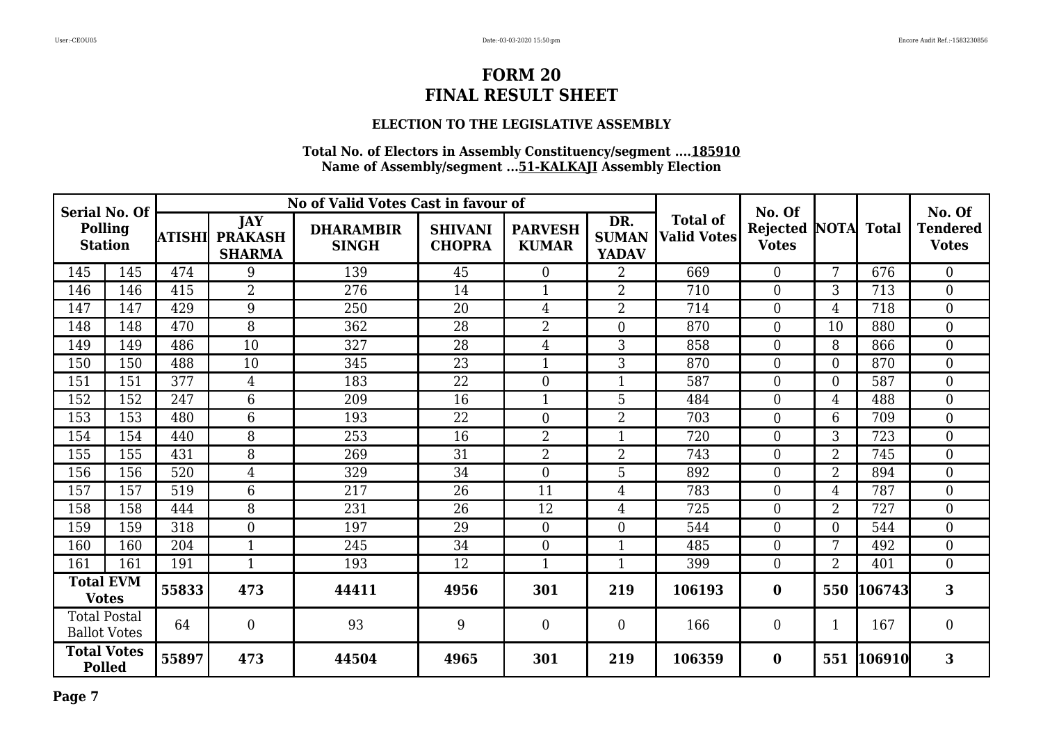### **ELECTION TO THE LEGISLATIVE ASSEMBLY**

| <b>Serial No. Of</b><br>Polling<br><b>Station</b> |                     |        |                                               | No of Valid Votes Cast in favour of |                                 |                                |                                     |                                       | No. Of                          |                |                   | No. Of                          |
|---------------------------------------------------|---------------------|--------|-----------------------------------------------|-------------------------------------|---------------------------------|--------------------------------|-------------------------------------|---------------------------------------|---------------------------------|----------------|-------------------|---------------------------------|
|                                                   |                     | ATISHI | <b>JAY</b><br><b>PRAKASH</b><br><b>SHARMA</b> | <b>DHARAMBIR</b><br><b>SINGH</b>    | <b>SHIVANI</b><br><b>CHOPRA</b> | <b>PARVESH</b><br><b>KUMAR</b> | DR.<br><b>SUMAN</b><br><b>YADAV</b> | <b>Total of</b><br><b>Valid Votes</b> | <b>Rejected</b><br><b>Votes</b> |                | <b>NOTA</b> Total | <b>Tendered</b><br><b>Votes</b> |
| 145                                               | 145                 | 474    | 9                                             | 139                                 | 45                              | $\overline{0}$                 | $\overline{2}$                      | 669                                   | $\overline{0}$                  | 7              | 676               | $\boldsymbol{0}$                |
| 146                                               | 146                 | 415    | $\overline{2}$                                | 276                                 | 14                              |                                | $\overline{2}$                      | 710                                   | $\overline{0}$                  | 3              | 713               | $\boldsymbol{0}$                |
| 147                                               | 147                 | 429    | 9                                             | 250                                 | 20                              | 4                              | 2                                   | 714                                   | $\boldsymbol{0}$                | $\overline{4}$ | 718               | $\boldsymbol{0}$                |
| 148                                               | 148                 | 470    | 8                                             | 362                                 | 28                              | $\overline{2}$                 | $\overline{0}$                      | 870                                   | $\overline{0}$                  | 10             | 880               | $\boldsymbol{0}$                |
| 149                                               | 149                 | 486    | 10                                            | 327                                 | 28                              | $\overline{4}$                 | 3                                   | 858                                   | $\overline{0}$                  | 8              | 866               | $\boldsymbol{0}$                |
| 150                                               | 150                 | 488    | 10                                            | 345                                 | 23                              | 1                              | 3                                   | 870                                   | $\overline{0}$                  | $\overline{0}$ | 870               | $\boldsymbol{0}$                |
| 151                                               | 151                 | 377    | $\overline{4}$                                | 183                                 | 22                              | $\overline{0}$                 | 1                                   | 587                                   | $\overline{0}$                  | $\overline{0}$ | 587               | $\boldsymbol{0}$                |
| 152                                               | 152                 | 247    | 6                                             | 209                                 | 16                              | $\mathbf{1}$                   | 5                                   | 484                                   | $\mathbf{0}$                    | $\overline{4}$ | 488               | $\boldsymbol{0}$                |
| 153                                               | 153                 | 480    | 6                                             | 193                                 | 22                              | $\overline{0}$                 | $\overline{2}$                      | 703                                   | $\overline{0}$                  | 6              | 709               | $\overline{0}$                  |
| 154                                               | 154                 | 440    | 8                                             | 253                                 | 16                              | $\overline{2}$                 | $\mathbf{1}$                        | 720                                   | $\overline{0}$                  | 3              | 723               | $\mathbf{0}$                    |
| 155                                               | 155                 | 431    | 8                                             | 269                                 | 31                              | $\overline{2}$                 | $\overline{2}$                      | 743                                   | $\overline{0}$                  | $\overline{2}$ | 745               | $\boldsymbol{0}$                |
| 156                                               | 156                 | 520    | $\overline{4}$                                | 329                                 | 34                              | $\overline{0}$                 | 5                                   | 892                                   | $\overline{0}$                  | $\overline{2}$ | 894               | $\boldsymbol{0}$                |
| 157                                               | 157                 | 519    | 6                                             | 217                                 | 26                              | 11                             | $\overline{4}$                      | 783                                   | $\mathbf{0}$                    | 4              | 787               | $\boldsymbol{0}$                |
| 158                                               | 158                 | 444    | 8                                             | 231                                 | 26                              | 12                             | $\overline{4}$                      | 725                                   | $\theta$                        | $\overline{2}$ | 727               | $\overline{0}$                  |
| 159                                               | 159                 | 318    | $\overline{0}$                                | 197                                 | 29                              | $\overline{0}$                 | $\theta$                            | 544                                   | $\Omega$                        | $\overline{0}$ | 544               | $\overline{0}$                  |
| 160                                               | 160                 | 204    | 1                                             | 245                                 | 34                              | $\boldsymbol{0}$               | $\mathbf{1}$                        | 485                                   | $\overline{0}$                  | 7              | 492               | $\boldsymbol{0}$                |
| 161                                               | 161                 | 191    | $\mathbf{1}$                                  | 193                                 | 12                              | $\mathbf{1}$                   | $\mathbf{1}$                        | 399                                   | $\overline{0}$                  | $\overline{2}$ | 401               | $\overline{0}$                  |
| <b>Total EVM</b><br><b>Votes</b>                  |                     | 55833  | 473                                           | 44411                               | 4956                            | 301                            | 219                                 | 106193                                | $\bf{0}$                        | 550            | 106743            | 3                               |
| <b>Total Postal</b>                               | <b>Ballot Votes</b> | 64     | $\overline{0}$                                | 93                                  | 9                               | $\overline{0}$                 | $\overline{0}$                      | 166                                   | $\mathbf{0}$                    | $\mathbf{1}$   | 167               | $\boldsymbol{0}$                |
| <b>Total Votes</b><br><b>Polled</b>               |                     | 55897  | 473                                           | 44504                               | 4965                            | 301                            | 219                                 | 106359                                | $\bf{0}$                        | 551            | 106910            | 3                               |